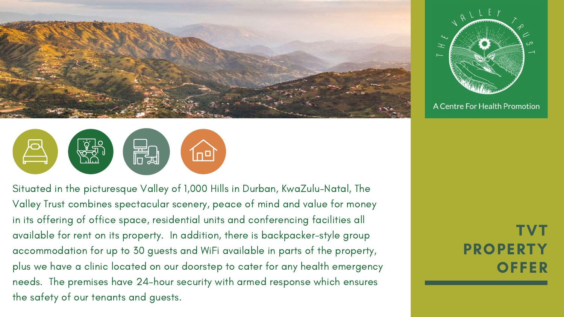



Situated in the picturesque Valley of 1,000 Hills in Durban, KwaZulu-Natal, The Valley Trust combines spectacular scenery, peace of mind and value for money in its offering of office space, residential units and conferencing facilities all available for rent on its property. In addition, there is backpacker-style group accommodation for up to 30 guests and WiFi available in parts of the property, plus we have a clinic located on our doorstep to cater for any health emergency needs. The premises have 24-hour security with armed response which ensures the safety of our tenants and guests.

TVT PROPERTY **OFFER** 



#### A Centre For Health Promotion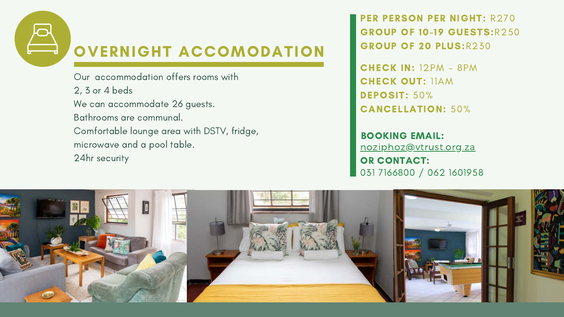

# OVERNIGHT ACCOMODATION

CHECK IN: 12PM - 8PM CHECK OUT: 11AM DEPOSIT: 50% CANCELLATION: 50%

PER PERSON PER NIGHT: R270 GROUP OF 10-19 GUESTS:R250 GROUP OF 20 PLUS:R230

Our accommodation offers rooms with 2, 3 or 4 beds We can accommodate 26 guests. Bathrooms are communal. Comfortable lounge area with DSTV, fridge, microwave and a pool table. 24hr security



BOOKING EMAIL: noziphoz@vtrust.org.za OR CONTACT: 031 7166800 / 062 1601958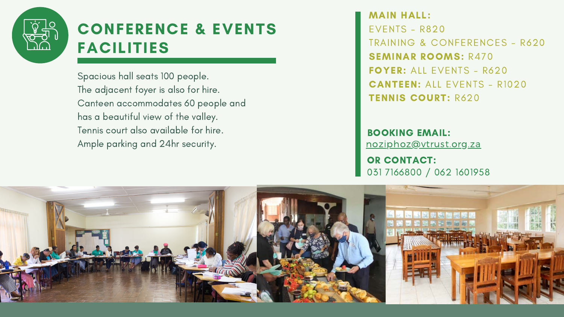

## CONFERENCE & EVENTS FACILITIES

MAIN HALL: EVENTS - R820 TRAINING & CONFERENCES - R620 SEMINAR ROOMS: R470 FOYER: ALL EVENTS - R620 CANTEEN: ALL EVENTS - R1020 TENNIS COURT: R620

Spacious hall seats 100 people. The adjacent foyer is also for hire. Canteen accommodates 60 people and has a beautiful view of the valley. Tennis court also available for hire. Ample parking and 24hr security.



BOOKING EMAIL: noziphoz@vtrust.org.za

OR CONTACT: 031 7166800 / 062 1601958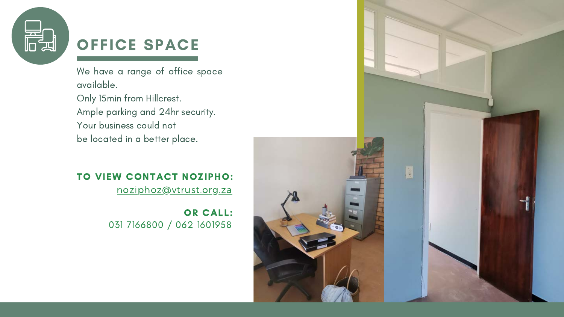### TO VIEW CONTACT NOZIPHO:

noziphoz@vtrust.org.za



## OFFICE SPACE

We have a range of office space available. Only 15min from Hillcrest. Ample parking and 24hr security. Your business could not be located in a better place.

> 031 7166800 / 062 1601958 OR CALL:

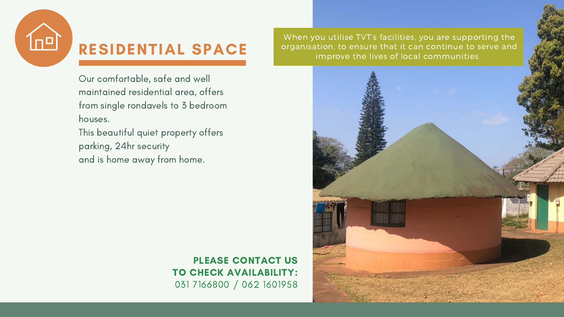PLEASE CONTACT US TO CHECK AVAILABILITY: 031 7166800 / 062 1601958



### RESIDENTIAL SPACE

Our comfortable, safe and well maintained residential area, offers from single rondavels to 3 bedroom houses. This beautiful quiet property offers

parking, 24hr security and is home away from home.

When you utilise TVT's facilities, you are supporting the organisation, to ensure that it can continue to serve and improve the lives of local communities.